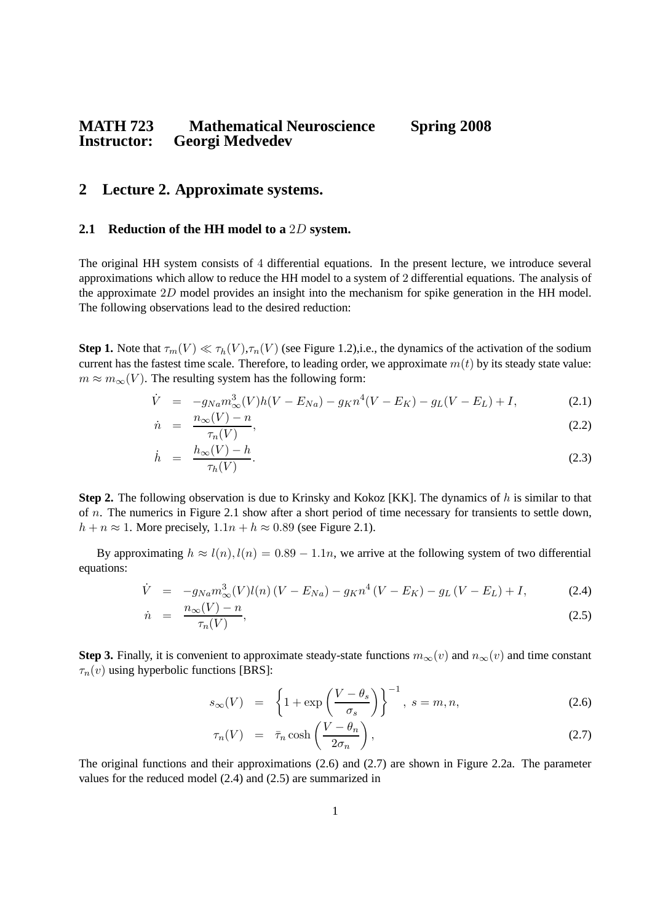# **MATH 723 Mathematical Neuroscience Spring 2008 Georgi Medvedev**

## **2 Lecture 2. Approximate systems.**

#### **2.1 Reduction of the HH model to a** 2D **system.**

The original HH system consists of 4 differential equations. In the present lecture, we introduce several approximations which allow to reduce the HH model to a system of 2 differential equations. The analysis of the approximate 2D model provides an insight into the mechanism for spike generation in the HH model. The following observations lead to the desired reduction:

**Step 1.** Note that  $\tau_m(V) \ll \tau_h(V), \tau_n(V)$  (see Figure 1.2), i.e., the dynamics of the activation of the sodium current has the fastest time scale. Therefore, to leading order, we approximate  $m(t)$  by its steady state value:  $m \approx m_{\infty}(V)$ . The resulting system has the following form:

$$
\dot{V} = -g_{Na} m_{\infty}^3(V) h(V - E_{Na}) - g_K n^4 (V - E_K) - g_L (V - E_L) + I,
$$
\n(2.1)

$$
\dot{n} = \frac{n_{\infty}(V) - n}{\tau_n(V)}.
$$
\n(2.2)

$$
\dot{h} = \frac{h_{\infty}(V) - h}{\tau_h(V)}.\tag{2.3}
$$

**Step 2.** The following observation is due to Krinsky and Kokoz [KK]. The dynamics of h is similar to that of  $n$ . The numerics in Figure 2.1 show after a short period of time necessary for transients to settle down,  $h + n \approx 1$ . More precisely,  $1.1n + h \approx 0.89$  (see Figure 2.1).

By approximating  $h \approx l(n)$ ,  $l(n) = 0.89 - 1.1n$ , we arrive at the following system of two differential equations:

$$
\dot{V} = -g_{Na} m_{\infty}^{3}(V) l(n) (V - E_{Na}) - g_{K} n^{4} (V - E_{K}) - g_{L} (V - E_{L}) + I,
$$
\n(2.4)

$$
\dot{n} = \frac{n_{\infty}(V) - n}{\tau_n(V)},\tag{2.5}
$$

**Step 3.** Finally, it is convenient to approximate steady-state functions  $m_{\infty}(v)$  and  $n_{\infty}(v)$  and time constant  $\tau_n(v)$  using hyperbolic functions [BRS]:

$$
s_{\infty}(V) = \left\{ 1 + \exp\left(\frac{V - \theta_s}{\sigma_s}\right) \right\}^{-1}, \ s = m, n,
$$
\n(2.6)

$$
\tau_n(V) = \bar{\tau}_n \cosh\left(\frac{V - \theta_n}{2\sigma_n}\right),\tag{2.7}
$$

The original functions and their approximations (2.6) and (2.7) are shown in Figure 2.2a. The parameter values for the reduced model (2.4) and (2.5) are summarized in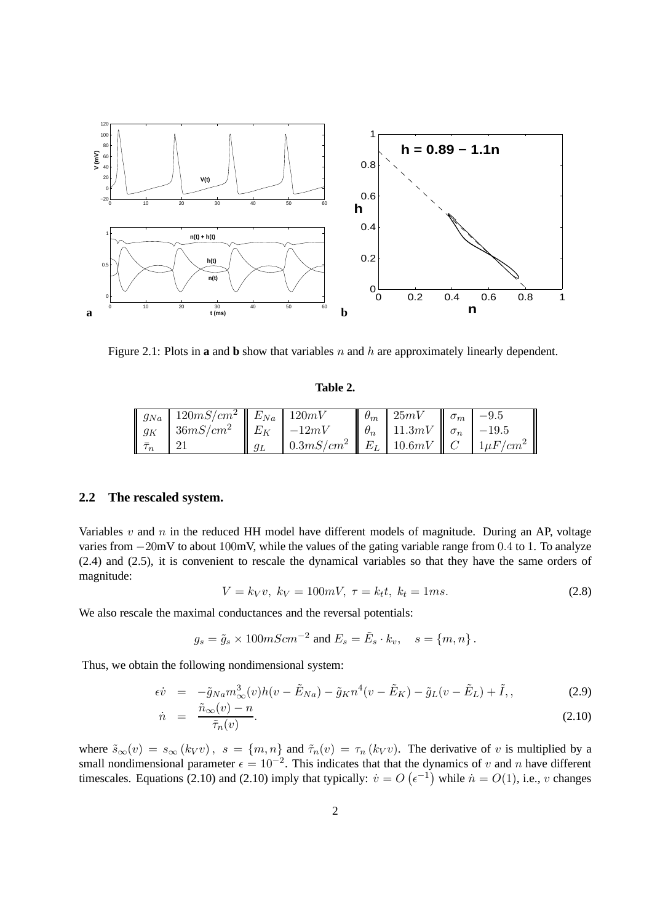

Figure 2.1: Plots in **a** and **b** show that variables n and h are approximately linearly dependent.

#### **Table 2.**

|   | $\parallel g_{Na} \parallel 120mS/cm^2 \parallel E_{Na} \parallel 120mV$ |       |                                                                 | $\theta_m$ 25mV                          | $\parallel \sigma_m \parallel$ | $-9.5$ |
|---|--------------------------------------------------------------------------|-------|-----------------------------------------------------------------|------------------------------------------|--------------------------------|--------|
|   | $\parallel g_K \parallel 36mS/cm^2 \parallel E_K \parallel -12mV$        |       |                                                                 | $\theta_n$   11.3mV   $\sigma_n$   -19.5 |                                |        |
| n |                                                                          | $g_L$ | $\mid 0.3mS/cm^2 \mid E_L \mid 10.6mV \mid C \mid 1 \mu F/cm^2$ |                                          |                                |        |

#### **2.2 The rescaled system.**

Variables  $v$  and  $n$  in the reduced HH model have different models of magnitude. During an AP, voltage varies from −20mV to about 100mV, while the values of the gating variable range from 0.4 to 1. To analyze (2.4) and (2.5), it is convenient to rescale the dynamical variables so that they have the same orders of magnitude:

$$
V = k_V v, \ k_V = 100mV, \ \tau = k_t t, \ k_t = 1ms. \tag{2.8}
$$

We also rescale the maximal conductances and the reversal potentials:

$$
g_s = \tilde{g}_s \times 100 mScm^{-2} \text{ and } E_s = \tilde{E}_s \cdot k_v, \quad s = \{m, n\}.
$$

Thus, we obtain the following nondimensional system:

$$
\epsilon \dot{v} = -\tilde{g}_{Na} m_{\infty}^{3}(v) h(v - \tilde{E}_{Na}) - \tilde{g}_{K} n^{4}(v - \tilde{E}_{K}) - \tilde{g}_{L}(v - \tilde{E}_{L}) + \tilde{I}, \qquad (2.9)
$$

$$
\tilde{n}_{\infty}(v) - n \qquad (2.10)
$$

$$
\dot{n} = \frac{\partial \phi(t)}{\partial \tau_n}(v)}.
$$
\n(2.10)

where  $\tilde{s}_{\infty}(v) = s_{\infty}(k_V v)$ ,  $s = \{m, n\}$  and  $\tilde{\tau}_n(v) = \tau_n(k_V v)$ . The derivative of v is multiplied by a small nondimensional parameter  $\epsilon = 10^{-2}$ . This indicates that that the dynamics of v and n have different timescales. Equations (2.10) and (2.10) imply that typically:  $\dot{v} = O(\epsilon^{-1})$  while  $\dot{n} = O(1)$ , i.e., v changes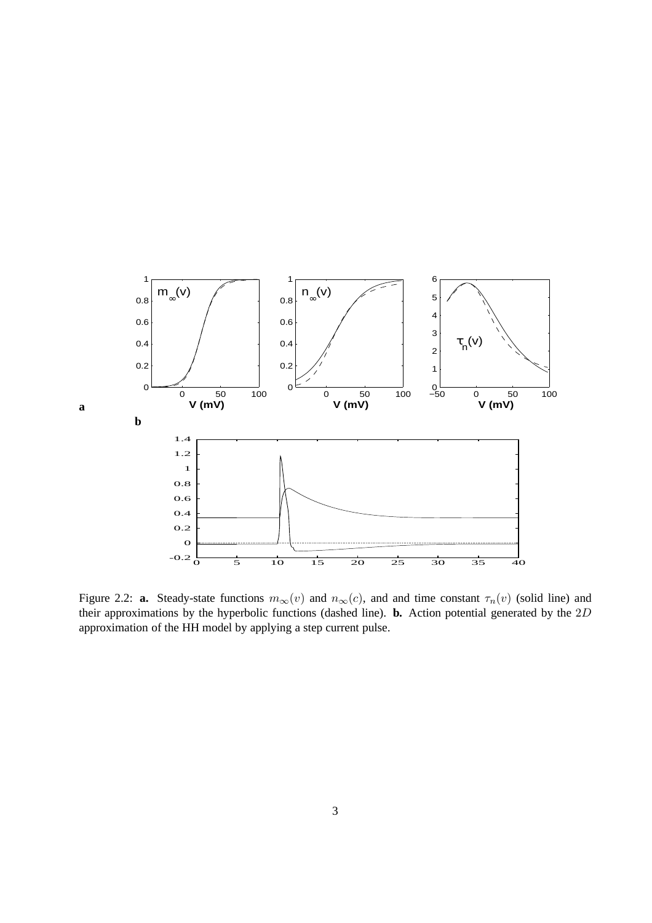

Figure 2.2: **a.** Steady-state functions  $m_{\infty}(v)$  and  $n_{\infty}(c)$ , and and time constant  $\tau_n(v)$  (solid line) and their approximations by the hyperbolic functions (dashed line). **b.** Action potential generated by the 2D approximation of the HH model by applying a step current pulse.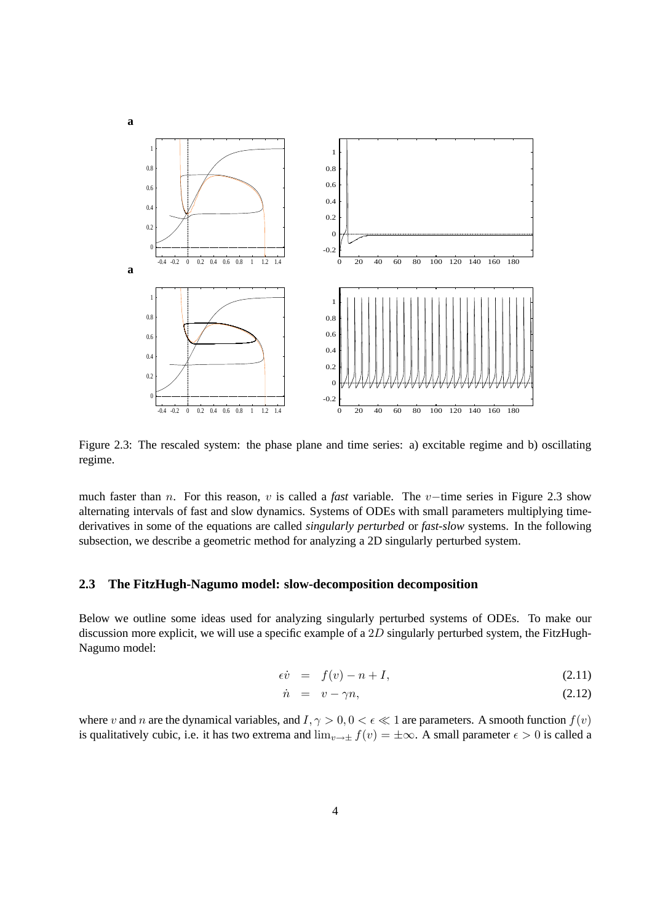

Figure 2.3: The rescaled system: the phase plane and time series: a) excitable regime and b) oscillating regime.

much faster than n. For this reason, v is called a *fast* variable. The v−time series in Figure 2.3 show alternating intervals of fast and slow dynamics. Systems of ODEs with small parameters multiplying timederivatives in some of the equations are called *singularly perturbed* or *fast-slow* systems. In the following subsection, we describe a geometric method for analyzing a 2D singularly perturbed system.

#### **2.3 The FitzHugh-Nagumo model: slow-decomposition decomposition**

Below we outline some ideas used for analyzing singularly perturbed systems of ODEs. To make our discussion more explicit, we will use a specific example of a  $2D$  singularly perturbed system, the FitzHugh-Nagumo model:

$$
\epsilon \dot{v} = f(v) - n + I,\tag{2.11}
$$

$$
\dot{n} = v - \gamma n, \tag{2.12}
$$

where v and n are the dynamical variables, and  $I, \gamma > 0, 0 < \epsilon \ll 1$  are parameters. A smooth function  $f(v)$ is qualitatively cubic, i.e. it has two extrema and  $\lim_{v\to\pm} f(v) = \pm \infty$ . A small parameter  $\epsilon > 0$  is called a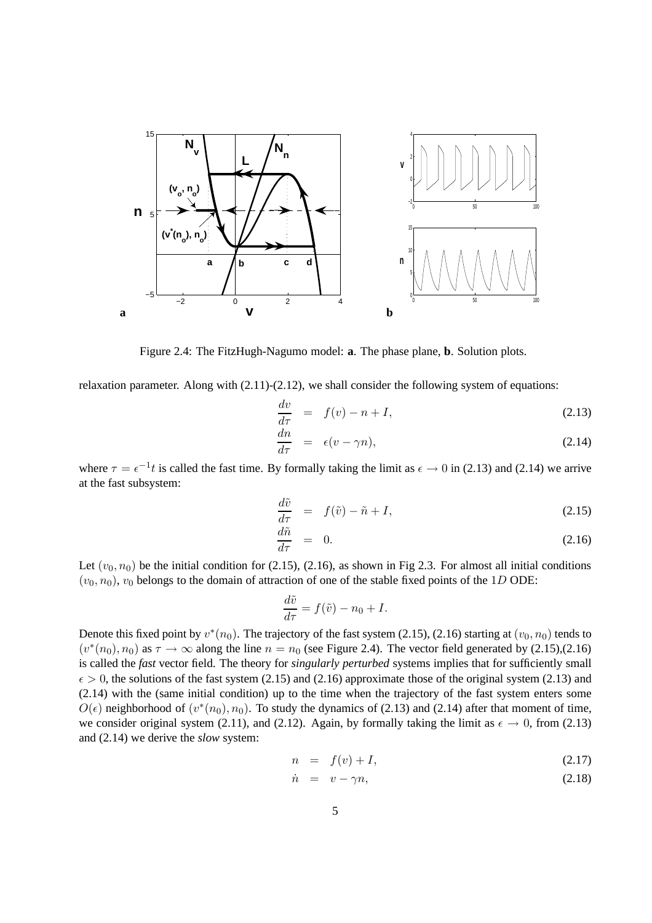

Figure 2.4: The FitzHugh-Nagumo model: **a**. The phase plane, **b**. Solution plots.

relaxation parameter. Along with (2.11)-(2.12), we shall consider the following system of equations:

$$
\frac{dv}{d\tau} = f(v) - n + I,\tag{2.13}
$$

$$
\frac{dn}{d\tau} = \epsilon(v - \gamma n),\tag{2.14}
$$

where  $\tau = \epsilon^{-1}t$  is called the fast time. By formally taking the limit as  $\epsilon \to 0$  in (2.13) and (2.14) we arrive at the fast subsystem:

$$
\frac{d\tilde{v}}{d\tau} = f(\tilde{v}) - \tilde{n} + I,\tag{2.15}
$$

$$
\frac{d\tilde{n}}{d\tau} = 0. \tag{2.16}
$$

Let  $(v_0, n_0)$  be the initial condition for (2.15), (2.16), as shown in Fig 2.3. For almost all initial conditions  $(v_0, n_0)$ ,  $v_0$  belongs to the domain of attraction of one of the stable fixed points of the 1D ODE:

$$
\frac{d\tilde{v}}{d\tau} = f(\tilde{v}) - n_0 + I.
$$

Denote this fixed point by  $v^*(n_0)$ . The trajectory of the fast system (2.15), (2.16) starting at  $(v_0, n_0)$  tends to  $(v^*(n_0), n_0)$  as  $\tau \to \infty$  along the line  $n = n_0$  (see Figure 2.4). The vector field generated by (2.15),(2.16) is called the *fast* vector field. The theory for *singularly perturbed* systems implies that for sufficiently small  $\epsilon > 0$ , the solutions of the fast system (2.15) and (2.16) approximate those of the original system (2.13) and (2.14) with the (same initial condition) up to the time when the trajectory of the fast system enters some  $O(\epsilon)$  neighborhood of  $(v^*(n_0), n_0)$ . To study the dynamics of (2.13) and (2.14) after that moment of time, we consider original system (2.11), and (2.12). Again, by formally taking the limit as  $\epsilon \to 0$ , from (2.13) and (2.14) we derive the *slow* system:

$$
n = f(v) + I,\tag{2.17}
$$

$$
\dot{n} = v - \gamma n, \tag{2.18}
$$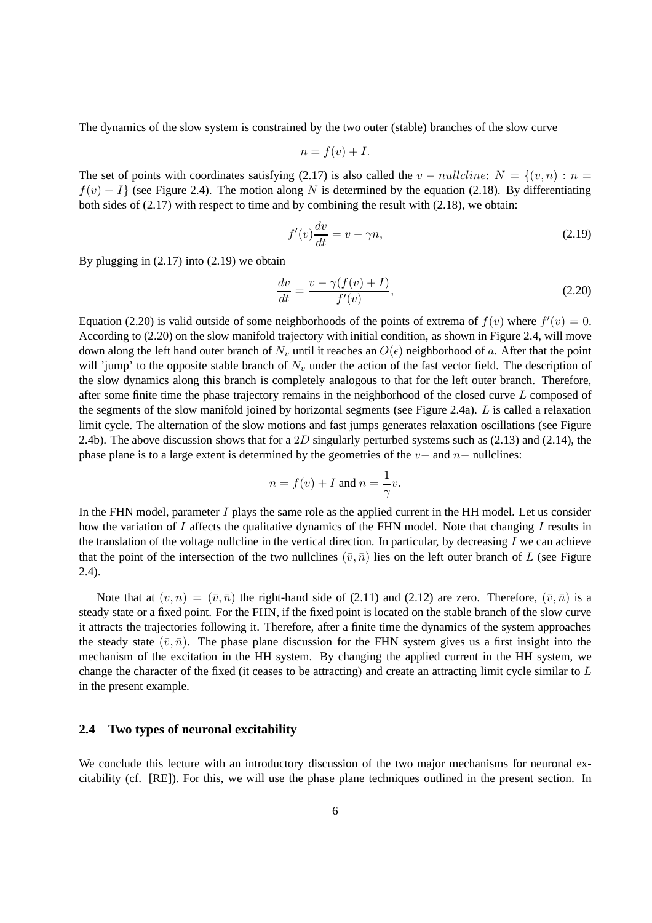The dynamics of the slow system is constrained by the two outer (stable) branches of the slow curve

$$
n = f(v) + I.
$$

The set of points with coordinates satisfying (2.17) is also called the  $v - nullcline$ :  $N = \{(v, n) : n =$  $f(v) + I$  (see Figure 2.4). The motion along N is determined by the equation (2.18). By differentiating both sides of (2.17) with respect to time and by combining the result with (2.18), we obtain:

$$
f'(v)\frac{dv}{dt} = v - \gamma n,\tag{2.19}
$$

By plugging in (2.17) into (2.19) we obtain

$$
\frac{dv}{dt} = \frac{v - \gamma(f(v) + I)}{f'(v)},\tag{2.20}
$$

Equation (2.20) is valid outside of some neighborhoods of the points of extrema of  $f(v)$  where  $f'(v) = 0$ . According to (2.20) on the slow manifold trajectory with initial condition, as shown in Figure 2.4, will move down along the left hand outer branch of  $N_v$  until it reaches an  $O(\epsilon)$  neighborhood of a. After that the point will 'jump' to the opposite stable branch of  $N_v$  under the action of the fast vector field. The description of the slow dynamics along this branch is completely analogous to that for the left outer branch. Therefore, after some finite time the phase trajectory remains in the neighborhood of the closed curve L composed of the segments of the slow manifold joined by horizontal segments (see Figure 2.4a). L is called a relaxation limit cycle. The alternation of the slow motions and fast jumps generates relaxation oscillations (see Figure 2.4b). The above discussion shows that for a 2D singularly perturbed systems such as  $(2.13)$  and  $(2.14)$ , the phase plane is to a large extent is determined by the geometries of the  $v-$  and  $n-$  nullclines:

$$
n = f(v) + I \text{ and } n = \frac{1}{\gamma}v.
$$

In the FHN model, parameter I plays the same role as the applied current in the HH model. Let us consider how the variation of I affects the qualitative dynamics of the FHN model. Note that changing I results in the translation of the voltage nullcline in the vertical direction. In particular, by decreasing  $I$  we can achieve that the point of the intersection of the two nullclines  $(\bar{v}, \bar{n})$  lies on the left outer branch of L (see Figure 2.4).

Note that at  $(v, n) = (\bar{v}, \bar{n})$  the right-hand side of (2.11) and (2.12) are zero. Therefore,  $(\bar{v}, \bar{n})$  is a steady state or a fixed point. For the FHN, if the fixed point is located on the stable branch of the slow curve it attracts the trajectories following it. Therefore, after a finite time the dynamics of the system approaches the steady state  $(\bar{v}, \bar{n})$ . The phase plane discussion for the FHN system gives us a first insight into the mechanism of the excitation in the HH system. By changing the applied current in the HH system, we change the character of the fixed (it ceases to be attracting) and create an attracting limit cycle similar to L in the present example.

### **2.4 Two types of neuronal excitability**

We conclude this lecture with an introductory discussion of the two major mechanisms for neuronal excitability (cf. [RE]). For this, we will use the phase plane techniques outlined in the present section. In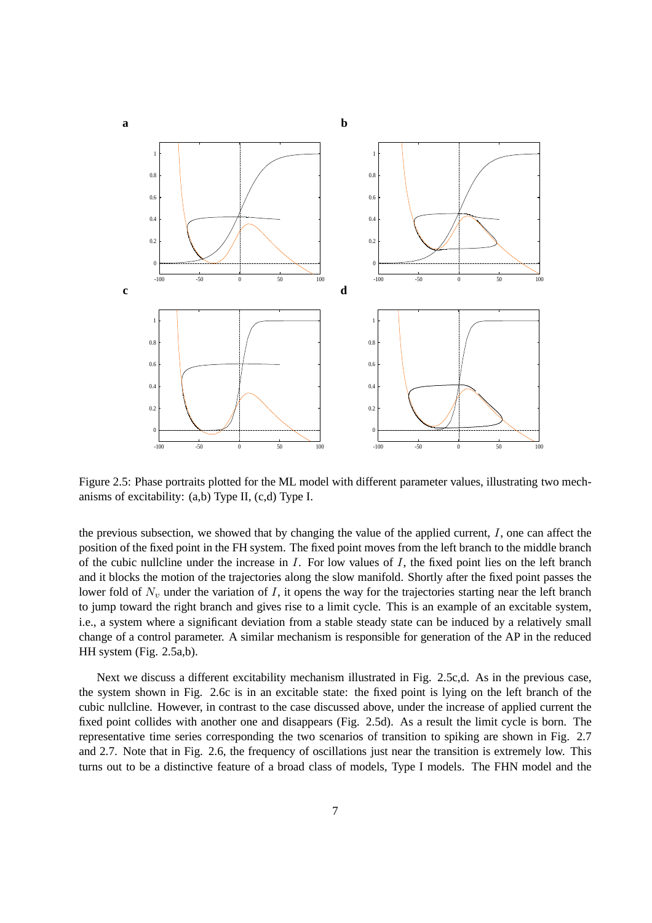

Figure 2.5: Phase portraits plotted for the ML model with different parameter values, illustrating two mechanisms of excitability: (a,b) Type II, (c,d) Type I.

the previous subsection, we showed that by changing the value of the applied current,  $I$ , one can affect the position of the fixed point in the FH system. The fixed point moves from the left branch to the middle branch of the cubic nullcline under the increase in  $I$ . For low values of  $I$ , the fixed point lies on the left branch and it blocks the motion of the trajectories along the slow manifold. Shortly after the fixed point passes the lower fold of  $N_v$  under the variation of I, it opens the way for the trajectories starting near the left branch to jump toward the right branch and gives rise to a limit cycle. This is an example of an excitable system, i.e., a system where a significant deviation from a stable steady state can be induced by a relatively small change of a control parameter. A similar mechanism is responsible for generation of the AP in the reduced HH system (Fig. 2.5a,b).

Next we discuss a different excitability mechanism illustrated in Fig. 2.5c,d. As in the previous case, the system shown in Fig. 2.6c is in an excitable state: the fixed point is lying on the left branch of the cubic nullcline. However, in contrast to the case discussed above, under the increase of applied current the fixed point collides with another one and disappears (Fig. 2.5d). As a result the limit cycle is born. The representative time series corresponding the two scenarios of transition to spiking are shown in Fig. 2.7 and 2.7. Note that in Fig. 2.6, the frequency of oscillations just near the transition is extremely low. This turns out to be a distinctive feature of a broad class of models, Type I models. The FHN model and the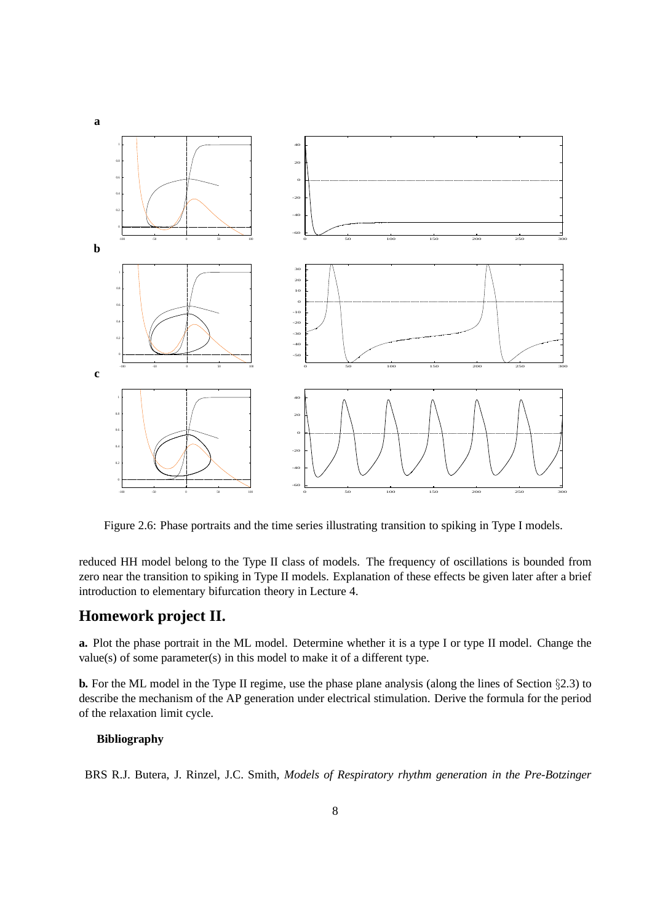

Figure 2.6: Phase portraits and the time series illustrating transition to spiking in Type I models.

reduced HH model belong to the Type II class of models. The frequency of oscillations is bounded from zero near the transition to spiking in Type II models. Explanation of these effects be given later after a brief introduction to elementary bifurcation theory in Lecture 4.

## **Homework project II.**

**a.** Plot the phase portrait in the ML model. Determine whether it is a type I or type II model. Change the value(s) of some parameter(s) in this model to make it of a different type.

**b.** For the ML model in the Type II regime, use the phase plane analysis (along the lines of Section §2.3) to describe the mechanism of the AP generation under electrical stimulation. Derive the formula for the period of the relaxation limit cycle.

#### **Bibliography**

BRS R.J. Butera, J. Rinzel, J.C. Smith, *Models of Respiratory rhythm generation in the Pre-Botzinger*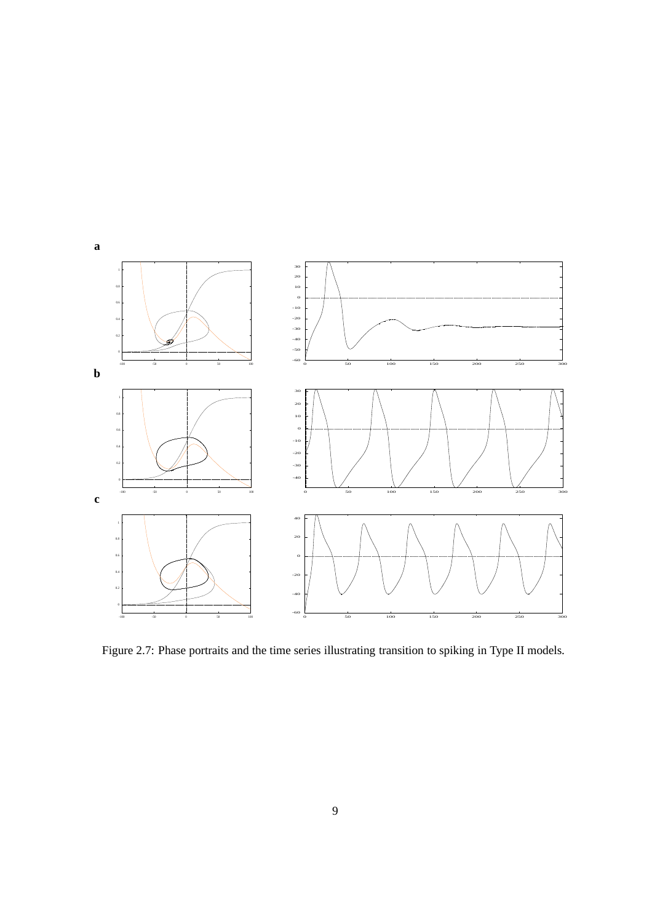

Figure 2.7: Phase portraits and the time series illustrating transition to spiking in Type II models.